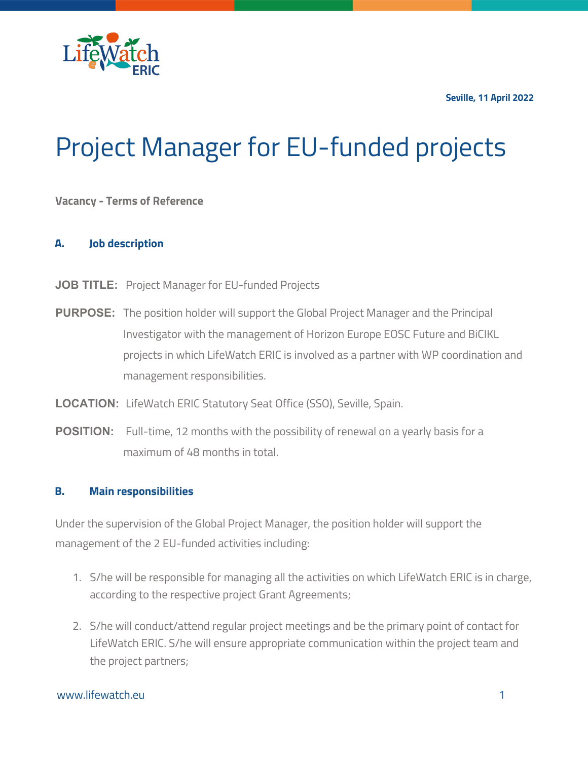**Seville, 11 April 2022**



# Project Manager for EU-funded projects

# **Vacancy - Terms of Reference**

#### **A. Job description**

- **JOB TITLE:** Project Manager for EU-funded Projects
- **PURPOSE:** The position holder will support the Global Project Manager and the Principal Investigator with the management of Horizon Europe EOSC Future and BiCIKL projects in which LifeWatch ERIC is involved as a partner with WP coordination and management responsibilities.
- **LOCATION:** LifeWatch ERIC Statutory Seat Office (SSO), Seville, Spain.
- **POSITION:** Full-time, 12 months with the possibility of renewal on a yearly basis for a maximum of 48 months in total.

#### **B. Main responsibilities**

Under the supervision of the Global Project Manager, the position holder will support the management of the 2 EU-funded activities including:

- 1. S/he will be responsible for managing all the activities on which LifeWatch ERIC is in charge, according to the respective project Grant Agreements;
- 2. S/he will conduct/attend regular project meetings and be the primary point of contact for LifeWatch ERIC. S/he will ensure appropriate communication within the project team and the project partners;

# www.lifewatch.eu 1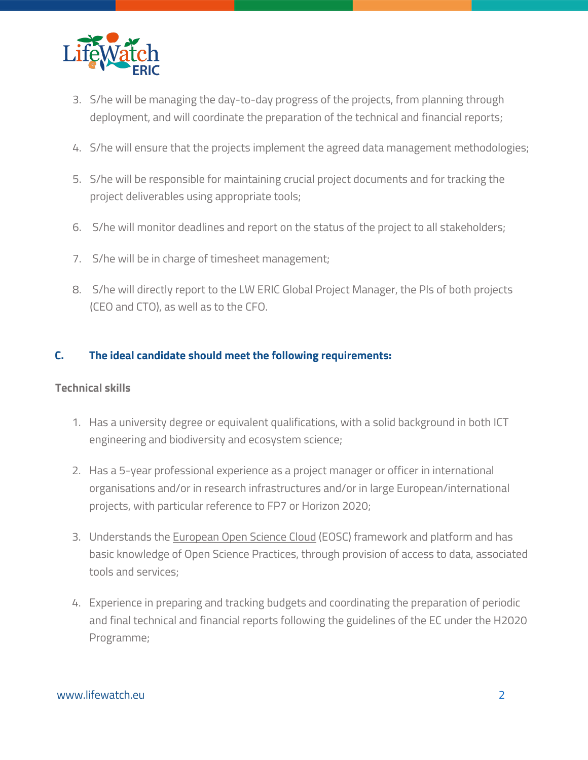

- 3. S/he will be managing the day-to-day progress of the projects, from planning through deployment, and will coordinate the preparation of the technical and financial reports;
- 4. S/he will ensure that the projects implement the agreed data management methodologies;
- 5. S/he will be responsible for maintaining crucial project documents and for tracking the project deliverables using appropriate tools;
- 6. S/he will monitor deadlines and report on the status of the project to all stakeholders;
- 7. S/he will be in charge of timesheet management;
- 8. S/he will directly report to the LW ERIC Global Project Manager, the PIs of both projects (CEO and CTO), as well as to the CFO.

# **C. The ideal candidate should meet the following requirements:**

# **Technical skills**

- 1. Has a university degree or equivalent qualifications, with a solid background in both ICT engineering and biodiversity and ecosystem science;
- 2. Has a 5-year professional experience as a project manager or officer in international organisations and/or in research infrastructures and/or in large European/international projects, with particular reference to FP7 or Horizon 2020;
- 3. Understands the European Open Science Cloud (EOSC) framework and platform and has basic knowledge of Open Science Practices, through provision of access to data, associated tools and services;
- 4. Experience in preparing and tracking budgets and coordinating the preparation of periodic and final technical and financial reports following the guidelines of the EC under the H2020 Programme;

#### www.lifewatch.eu 2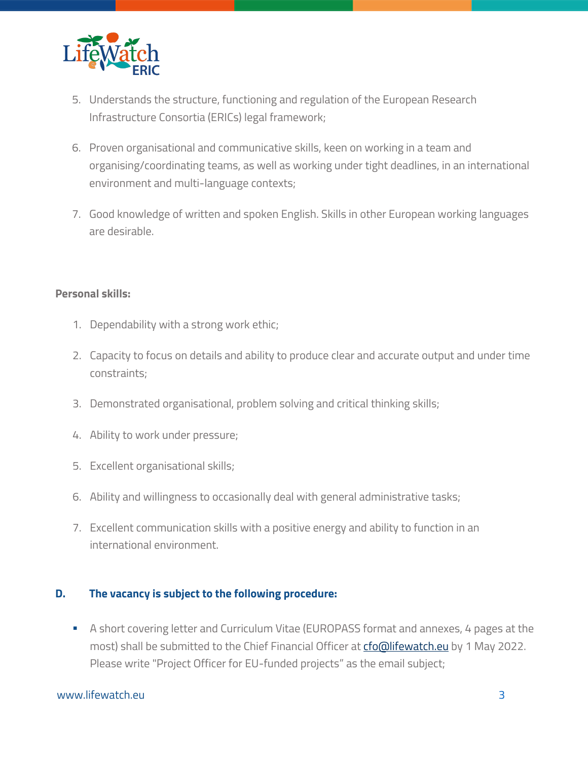

- 5. Understands the structure, functioning and regulation of the European Research Infrastructure Consortia (ERICs) legal framework;
- 6. Proven organisational and communicative skills, keen on working in a team and organising/coordinating teams, as well as working under tight deadlines, in an international environment and multi-language contexts;
- 7. Good knowledge of written and spoken English. Skills in other European working languages are desirable.

# **Personal skills:**

- 1. Dependability with a strong work ethic;
- 2. Capacity to focus on details and ability to produce clear and accurate output and under time constraints;
- 3. Demonstrated organisational, problem solving and critical thinking skills;
- 4. Ability to work under pressure;
- 5. Excellent organisational skills;
- 6. Ability and willingness to occasionally deal with general administrative tasks;
- 7. Excellent communication skills with a positive energy and ability to function in an international environment.

# **D. The vacancy is subject to the following procedure:**

■ A short covering letter and Curriculum Vitae (EUROPASS format and annexes, 4 pages at the most) shall be submitted to the Chief Financial Officer at cfo@lifewatch.eu by 1 May 2022. Please write "Project Officer for EU-funded projects" as the email subject;

#### www.lifewatch.eu 3